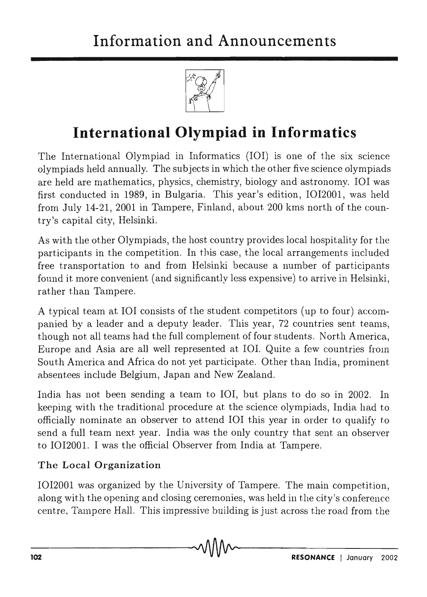

# **International Olympiad in Informatics**

The International Olympiad in Informatics (101) is one of the six science olympiads held annually. The subjects in which the other five science olympiads are held are mathematics, physics, chemistry, biology and astronomy. IOI was first conducted in 1989, in Bulgaria. This year's edition, 1012001, was held from July 14-21, 2001 in Tampere, Finland, about 200 kms north of the country's capital city, Helsinki.

As with the other Olympiads, the host country provides local hospitality for the participants in the competition. In this case, the local arrangements included free transportation to and from Helsinki because a number of participants found it more convenient (and significantly less expensive) to arrive in Helsinki, rather than Tampere.

A typical team at IOI consists of the student competitors (up to four) accompanied by a leader and a deputy leader. This year, 72 countries sent teams, though not all teams had the full complement of four students. North America, Europe and Asia are all well represented at IOI. Quite a few countries from South America and Africa do not yet participate. Other than India, prominent absentees include Belgium, Japan and New Zealand.

India has not been sending a team to 101, but plans to do so in 2002. In keeping with the traditional procedure at the science olympiads, India had to officially nominate an observer to attend 101 this year in order to qualify to send a full team next year. India was the only country that sent an observer to 1012001. I was the official Observer from India at Tampere.

# The Local Organization

1012001 was organized by the University of Tampere. The main competition, along with the opening and closing ceremonies, was held in the city's conference centre, Tampere Hall. This impressive building is just across the road from the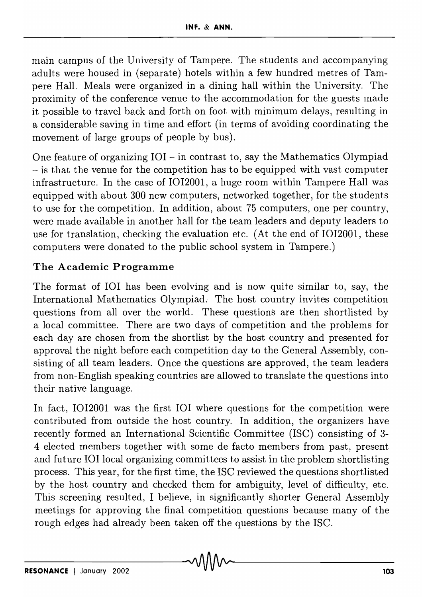main campus of the University of Tampere. The students and accompanying adults were housed in (separate) hotels within a few hundred metres of Tampere Hall. Meals were organized in a dining hall within the University. The proximity of the conference venue to the accommodation for the guests luade it possible to travel back and forth on foot with minimum delays, resulting in a considerable saving in time and effort (in terms of avoiding coordinating the movement of large groups of people by bus).

One feature of organizing  $IOI$  - in contrast to, say the Mathematics Olympiad - is that the venue for the competition has to be equipped with vast computer infrastructure. In the case of 1012001, a huge room within Tampere Hall was equipped with about 300 new computers, networked together, for the students to use for the competition. In addition, about 75 computers, one per country, were made available in another hall for the team leaders and deputy leaders to use for translation, checking the evaluation etc. (At the end of 1012001, these computers were donated to the public school system in Tampere.)

# The Academic Programme

The format of 101 has been evolving and is now quite similar to, say, the International Mathematics Olympiad. The host country invites competition questions from all over the world. These questions are then shortlisted by a local committee. There are two days of competition and the problems for each day are chosen from the shortlist by the host country and presented for approval the night before each competition day to the General Assembly, consisting of all team leaders. Once the questions are approved, the team leaders from non-English speaking countries are allowed to translate the questions into their native language.

In fact, 1012001 was the first 101 where questions for the competition were contributed from outside the host country. In addition, the organizers have recently formed an International Scientific Committee (lSC) consisting of 3- 4 elected members together with some de facto members from past, present and future IOI local organizing committees to assist in the problem shortlisting process. This year, for the first time, the lSC reviewed the questions shortlisted by the host country and checked them for ambiguity, level of difficulty, etc. This screening resulted, 1 believe, in significantly shorter General Assembly meetings for approving the final competition questions because many of the rough edges had already been taken off the questions by the ISC.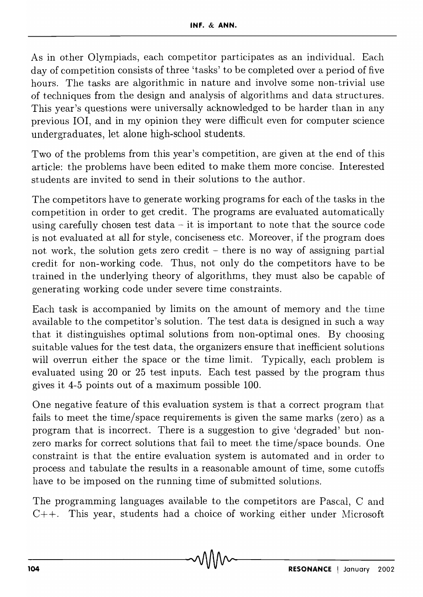As in other Olympiads, each competitor participates as an individual. Each day of competition consists of three 'tasks' to be completed over a period of five hours. The tasks are algorithmic in nature and involve some non--trivial use of techniques from the design and analysis of algorithms and data structures. This year's questions were universally acknowledged to be harder than in any previous 101, and in my opinion they were difficult even for computer science undergraduates, let alone high-school students.

Two of the problems from this year's competition, are given at the end of this article: the problems have been edited to make them more concise. Interested students are invited to send in their solutions to the author.

The competitors have to generate working programs for each of the tasks in the competition in order to get credit. The programs are evaluated automatically using carefully chosen test data  $-$  it is important to note that the source code is not evaluated at all for style, conciseness etc. Moreover, if the program does not work, the solution gets zero credit  $-$  there is no way of assigning partial credit for non-working code. Thus, not only do the competitors have to be trained in the underlying theory of algorithms, they must also be capable of generating working code under severe time constraints.

Each task is accompanied by limits on the amount of memory and the time available to the competitor's solution. The test data is designed in such a way that it distinguishes optimal solutions from non-optimal ones. By choosing suitable values for the test data, the organizers ensure that inefficient solutions will overrun either the space or the time limit. Typically, each problem is evaluated using 20 or 25 test inputs. Each test passed by the program thus gives it 4-5 points out of a maximum possible 100.

One negative feature of this evaluation system is that a correct program that fails to meet the time/space requirements is given the same marks (zero) as a program that is incorrect. There is a suggestion to give 'degraded' but nonzero marks for correct solutions that fail to meet the time/space bounds. One constraint is that the entire evaluation system is automated and in order to process and tabulate the results in a reasonable amount of time, some cutoffs have to be imposed on the running time of submitted solutions.

The programming languages available to the competitors are Pascal, C and *C*++. This year, students had a choice of working either under Microsoft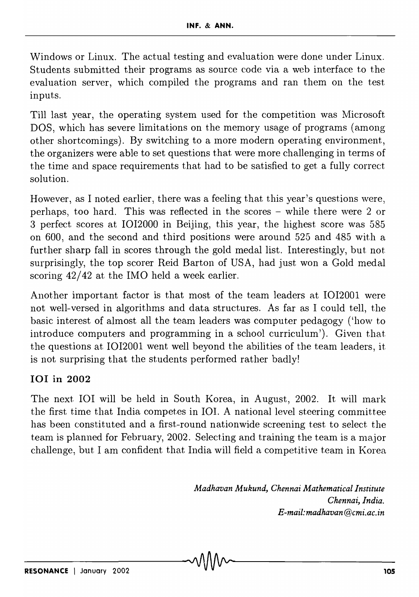Windows or Linux. The actual testing and evaluation were done under Linux. Students submitted their programs as source code via a web interface to the evaluation server, which compiled the programs and ran them on the test inputs.

Till last year, the operating system used for the competition was Microsoft DOS, which has severe limitations on the memory usage of programs (among other shortcomings). By switching to a more modern operating environment, the organizers were able to set questions that were more challenging in terms of the time and space requirements that had to be satisfied to get a fully correct solution.

However, as I noted earlier, there was a feeling that this year's questions were, perhaps, too hard. This was reflected in the scores - while there were 2 or 3 perfect scores at 1012000 in Beijing, this year, the highest score was 585 on 600, and the second and third positions were around 525 and 485 with a further sharp fall in scores through the gold medal list. Interestingly, but not surprisingly, the top scorer Reid Barton of USA, had just won a Gold medal scoring 42/42 at the IMO held a week earlier.

Another important factor is that most of the team leaders at 1012001 were not well-versed in algorithms and data structures. As far as I could tell, the basic interest of almost all the team leaders was computer pedagogy ('how to introduce computers and programming in a school curriculum'). Given that the questions at IOI2001 went well beyond the abilities of the team leaders, it is not surprising that the students performed rather badly!

# 101 in 2002

The next IOI will be held in South Korea, in August, 2002. It will mark the first time that India competes in IOI. A national level steering committee has been constituted and a first-round nationwide screening test to select the team is planned for February, 2002. Selecting and training the team is a major challenge, but I am confident that India will field a competitive team in Korea

> *Madhavan Mukund, Chennai Mathematical Institute Chennai, India. E-mail:madhavan@cmi.ac.in*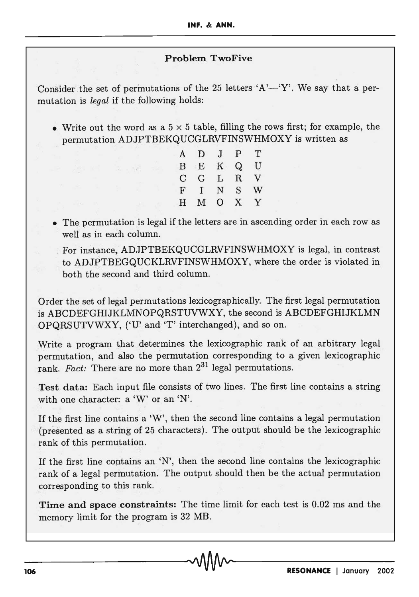#### Problem TwoFive

Consider the set of permutations of the 25 letters 'A'-'Y'. We say that a permutation is *legal* if the following holds:

• Write out the word as a  $5 \times 5$  table, filling the rows first; for example, the permutation ADJPTBEKQUCGLRVFINSWHMOXY is written as

| A | D            | J. | P  | Т |
|---|--------------|----|----|---|
| в | Ε            | Κ  | Q  | U |
| С | G            | L  | R. | v |
| F | $\mathbf{I}$ | N  | S  | w |
| H | М            | О  | X  | Y |
|   |              |    |    |   |

• The permutation is legal if the letters are in ascending order in each row as well as in each column.

For instance, ADJPTBEKQUCGLRVFINSWHMOXY is legal, in contrast to ADJPTBEGQUCKLRVFINSWHMOXY, where the order is violated in both the second and third column.

Order the set of legal permutations lexicographically. The first legal permutation is ABCDEFGHIJKLMNOPQRSTUVWXY, the second is ABCDEFGHIJKLMN OPQRSUTVWXY, ('U' and 'T' interchanged), and so on.

Write a program that determines the lexicographic rank of an arbitrary legal permutation, and also the permutation corresponding to a given lexicographic rank. *Fact:* There are no more than  $2^{31}$  legal permutations.

Test data: Each input file consists of two lines. The first line contains a string with one character: a 'W' or an 'N'.

If the first line contains a 'W', then the second line contains a legal permutation (presented as a string of 25 characters). The output should be the lexicographic rank of this permutation.

If the first line contains an 'N', then the second line contains the lexicographic rank of a legal permutation. The output should then be the actual permutation corresponding to this rank.

Time and space constraints: The time limit for each test is 0.02 ms and the memory limit for the program is 32 MB.